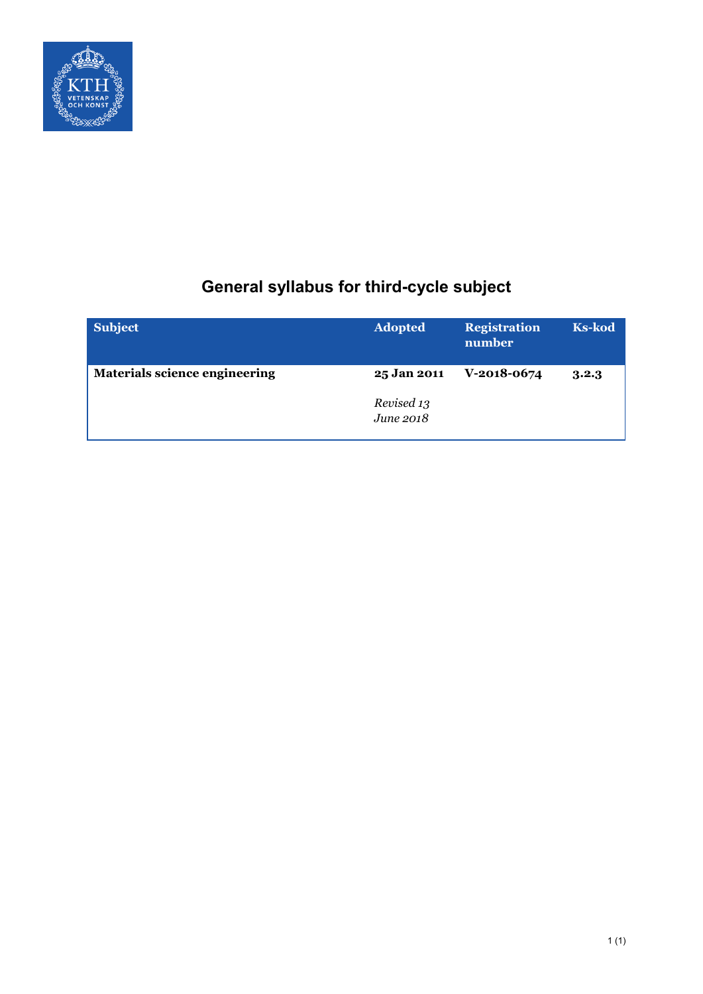

# **General syllabus for third-cycle subject**

| <b>Subject</b>                       | <b>Adopted</b>          | <b>Registration</b><br>number | <b>Ks-kod</b> |
|--------------------------------------|-------------------------|-------------------------------|---------------|
| <b>Materials science engineering</b> | 25 Jan 2011             | $V-2018-0674$                 | 3.2.3         |
|                                      | Revised 13<br>June 2018 |                               |               |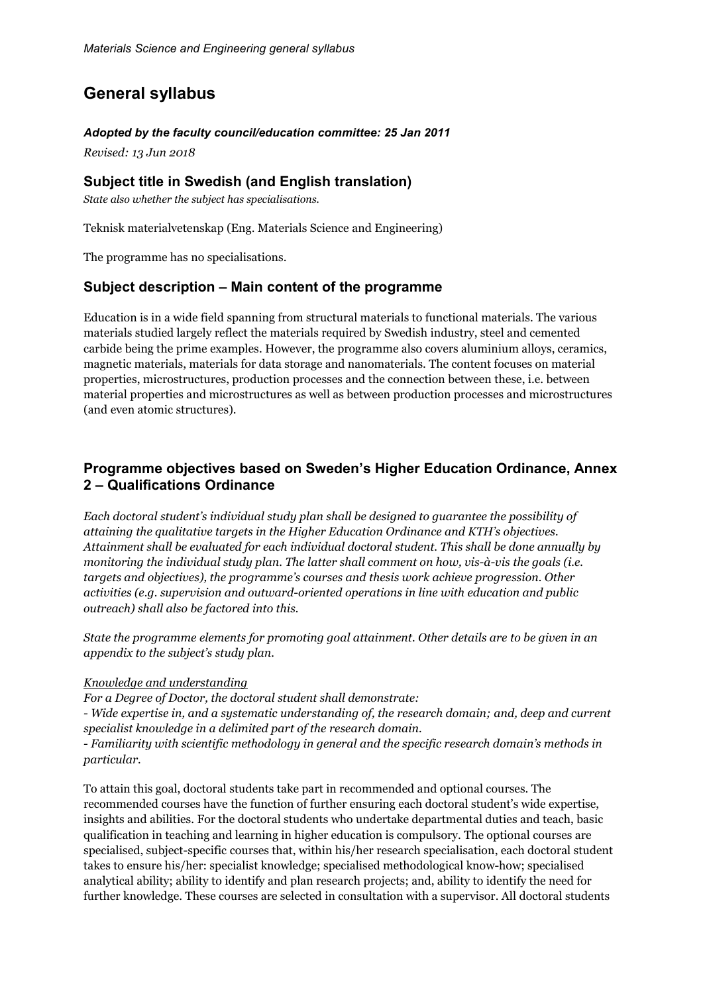## **General syllabus**

#### *Adopted by the faculty council/education committee: 25 Jan 2011*

*Revised: 13 Jun 2018*

## **Subject title in Swedish (and English translation)**

*State also whether the subject has specialisations.*

Teknisk materialvetenskap (Eng. Materials Science and Engineering)

The programme has no specialisations.

## **Subject description – Main content of the programme**

Education is in a wide field spanning from structural materials to functional materials. The various materials studied largely reflect the materials required by Swedish industry, steel and cemented carbide being the prime examples. However, the programme also covers aluminium alloys, ceramics, magnetic materials, materials for data storage and nanomaterials. The content focuses on material properties, microstructures, production processes and the connection between these, i.e. between material properties and microstructures as well as between production processes and microstructures (and even atomic structures).

## **Programme objectives based on Sweden's Higher Education Ordinance, Annex 2 – Qualifications Ordinance**

*Each doctoral student's individual study plan shall be designed to guarantee the possibility of attaining the qualitative targets in the Higher Education Ordinance and KTH's objectives. Attainment shall be evaluated for each individual doctoral student. This shall be done annually by monitoring the individual study plan. The latter shall comment on how, vis-à-vis the goals (i.e. targets and objectives), the programme's courses and thesis work achieve progression. Other activities (e.g. supervision and outward-oriented operations in line with education and public outreach) shall also be factored into this.*

*State the programme elements for promoting goal attainment. Other details are to be given in an appendix to the subject's study plan.*

#### *Knowledge and understanding*

*For a Degree of Doctor, the doctoral student shall demonstrate:*

*- Wide expertise in, and a systematic understanding of, the research domain; and, deep and current specialist knowledge in a delimited part of the research domain.*

*- Familiarity with scientific methodology in general and the specific research domain's methods in particular.*

To attain this goal, doctoral students take part in recommended and optional courses. The recommended courses have the function of further ensuring each doctoral student's wide expertise, insights and abilities. For the doctoral students who undertake departmental duties and teach, basic qualification in teaching and learning in higher education is compulsory. The optional courses are specialised, subject-specific courses that, within his/her research specialisation, each doctoral student takes to ensure his/her: specialist knowledge; specialised methodological know-how; specialised analytical ability; ability to identify and plan research projects; and, ability to identify the need for further knowledge. These courses are selected in consultation with a supervisor. All doctoral students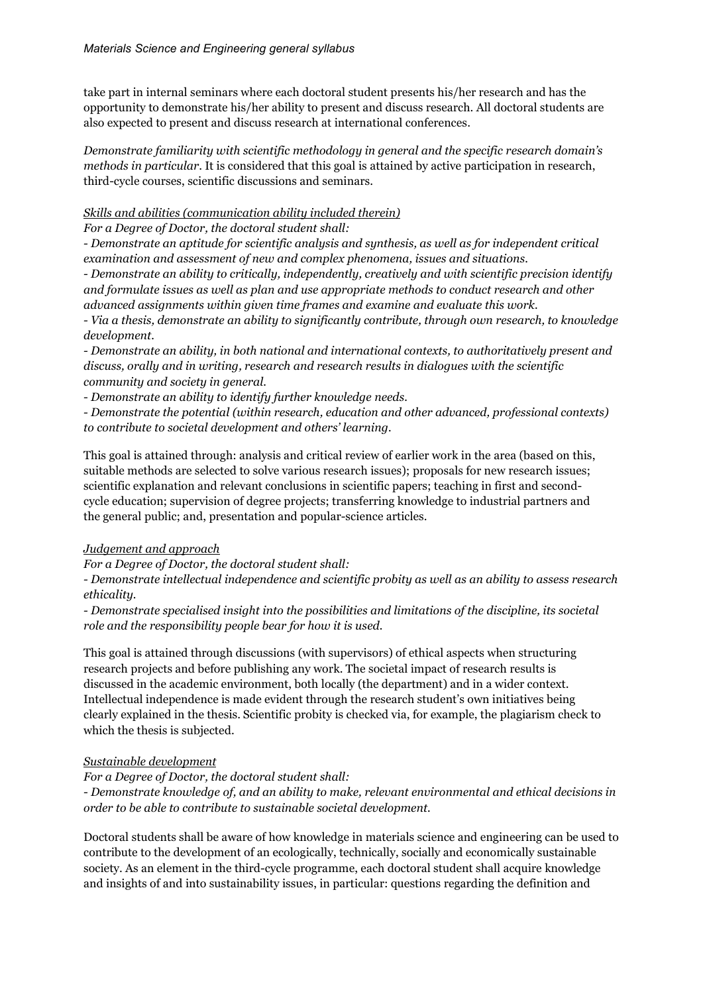take part in internal seminars where each doctoral student presents his/her research and has the opportunity to demonstrate his/her ability to present and discuss research. All doctoral students are also expected to present and discuss research at international conferences.

*Demonstrate familiarity with scientific methodology in general and the specific research domain's methods in particular*. It is considered that this goal is attained by active participation in research, third-cycle courses, scientific discussions and seminars.

#### *Skills and abilities (communication ability included therein)*

*For a Degree of Doctor, the doctoral student shall:*

*- Demonstrate an aptitude for scientific analysis and synthesis, as well as for independent critical examination and assessment of new and complex phenomena, issues and situations.*

*- Demonstrate an ability to critically, independently, creatively and with scientific precision identify and formulate issues as well as plan and use appropriate methods to conduct research and other advanced assignments within given time frames and examine and evaluate this work.*

*- Via a thesis, demonstrate an ability to significantly contribute, through own research, to knowledge development.*

*- Demonstrate an ability, in both national and international contexts, to authoritatively present and discuss, orally and in writing, research and research results in dialogues with the scientific community and society in general.*

*- Demonstrate an ability to identify further knowledge needs.*

*- Demonstrate the potential (within research, education and other advanced, professional contexts) to contribute to societal development and others' learning.*

This goal is attained through: analysis and critical review of earlier work in the area (based on this, suitable methods are selected to solve various research issues); proposals for new research issues; scientific explanation and relevant conclusions in scientific papers; teaching in first and secondcycle education; supervision of degree projects; transferring knowledge to industrial partners and the general public; and, presentation and popular-science articles.

#### *Judgement and approach*

*For a Degree of Doctor, the doctoral student shall:*

*- Demonstrate intellectual independence and scientific probity as well as an ability to assess research ethicality.*

*- Demonstrate specialised insight into the possibilities and limitations of the discipline, its societal role and the responsibility people bear for how it is used.*

This goal is attained through discussions (with supervisors) of ethical aspects when structuring research projects and before publishing any work. The societal impact of research results is discussed in the academic environment, both locally (the department) and in a wider context. Intellectual independence is made evident through the research student's own initiatives being clearly explained in the thesis. Scientific probity is checked via, for example, the plagiarism check to which the thesis is subjected.

#### *Sustainable development*

*For a Degree of Doctor, the doctoral student shall: - Demonstrate knowledge of, and an ability to make, relevant environmental and ethical decisions in order to be able to contribute to sustainable societal development.*

Doctoral students shall be aware of how knowledge in materials science and engineering can be used to contribute to the development of an ecologically, technically, socially and economically sustainable society. As an element in the third-cycle programme, each doctoral student shall acquire knowledge and insights of and into sustainability issues, in particular: questions regarding the definition and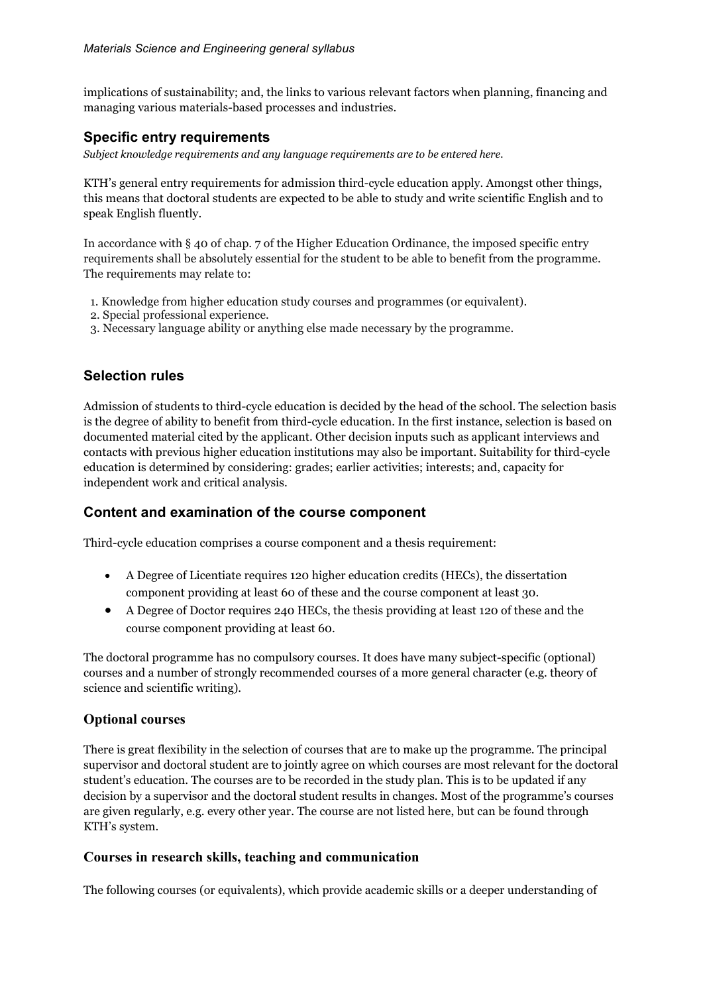implications of sustainability; and, the links to various relevant factors when planning, financing and managing various materials-based processes and industries.

## **Specific entry requirements**

*Subject knowledge requirements and any language requirements are to be entered here.*

KTH's general entry requirements for admission third-cycle education apply. Amongst other things, this means that doctoral students are expected to be able to study and write scientific English and to speak English fluently.

In accordance with § 40 of chap. 7 of the Higher Education Ordinance, the imposed specific entry requirements shall be absolutely essential for the student to be able to benefit from the programme. The requirements may relate to:

- 1. Knowledge from higher education study courses and programmes (or equivalent).
- 2. Special professional experience.
- 3. Necessary language ability or anything else made necessary by the programme.

## **Selection rules**

Admission of students to third-cycle education is decided by the head of the school. The selection basis is the degree of ability to benefit from third-cycle education. In the first instance, selection is based on documented material cited by the applicant. Other decision inputs such as applicant interviews and contacts with previous higher education institutions may also be important. Suitability for third-cycle education is determined by considering: grades; earlier activities; interests; and, capacity for independent work and critical analysis.

## **Content and examination of the course component**

Third-cycle education comprises a course component and a thesis requirement:

- A Degree of Licentiate requires 120 higher education credits (HECs), the dissertation component providing at least 60 of these and the course component at least 30.
- A Degree of Doctor requires 240 HECs, the thesis providing at least 120 of these and the course component providing at least 60.

The doctoral programme has no compulsory courses. It does have many subject-specific (optional) courses and a number of strongly recommended courses of a more general character (e.g. theory of science and scientific writing).

#### **Optional courses**

There is great flexibility in the selection of courses that are to make up the programme. The principal supervisor and doctoral student are to jointly agree on which courses are most relevant for the doctoral student's education. The courses are to be recorded in the study plan. This is to be updated if any decision by a supervisor and the doctoral student results in changes. Most of the programme's courses are given regularly, e.g. every other year. The course are not listed here, but can be found through KTH's system.

#### **Courses in research skills, teaching and communication**

The following courses (or equivalents), which provide academic skills or a deeper understanding of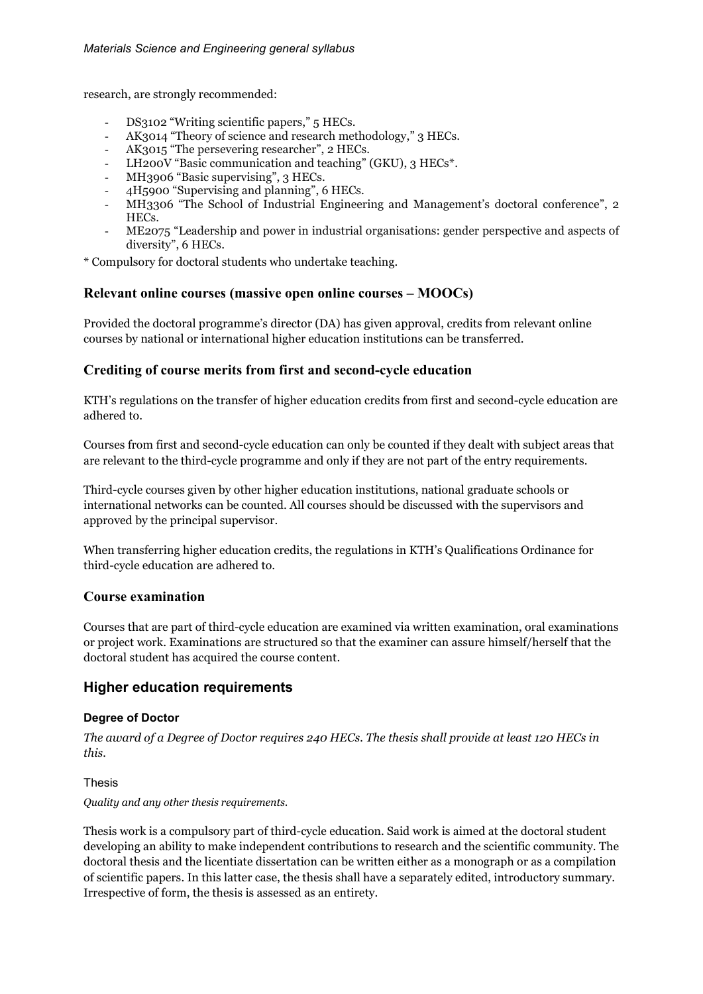research, are strongly recommended:

- DS3102 "Writing scientific papers," 5 HECs.
- AK3014 "Theory of science and research methodology," 3 HECs.
- AK3015 "The persevering researcher", 2 HECs.
- LH200V "Basic communication and teaching" (GKU), 3 HECs<sup>\*</sup>.
- MH3906 "Basic supervising", 3 HECs.
- 4H5900 "Supervising and planning", 6 HECs.
- MH3306 "The School of Industrial Engineering and Management's doctoral conference", 2 HECs.
- ME2075 "Leadership and power in industrial organisations: gender perspective and aspects of diversity", 6 HECs.

\* Compulsory for doctoral students who undertake teaching.

#### **Relevant online courses (massive open online courses – MOOCs)**

Provided the doctoral programme's director (DA) has given approval, credits from relevant online courses by national or international higher education institutions can be transferred.

#### **Crediting of course merits from first and second-cycle education**

KTH's regulations on the transfer of higher education credits from first and second-cycle education are adhered to.

Courses from first and second-cycle education can only be counted if they dealt with subject areas that are relevant to the third-cycle programme and only if they are not part of the entry requirements.

Third-cycle courses given by other higher education institutions, national graduate schools or international networks can be counted. All courses should be discussed with the supervisors and approved by the principal supervisor.

When transferring higher education credits, the regulations in KTH's Qualifications Ordinance for third-cycle education are adhered to.

#### **Course examination**

Courses that are part of third-cycle education are examined via written examination, oral examinations or project work. Examinations are structured so that the examiner can assure himself/herself that the doctoral student has acquired the course content.

## **Higher education requirements**

#### **Degree of Doctor**

*The award of a Degree of Doctor requires 240 HECs. The thesis shall provide at least 120 HECs in this.*

#### Thesis

*Quality and any other thesis requirements.*

Thesis work is a compulsory part of third-cycle education. Said work is aimed at the doctoral student developing an ability to make independent contributions to research and the scientific community. The doctoral thesis and the licentiate dissertation can be written either as a monograph or as a compilation of scientific papers. In this latter case, the thesis shall have a separately edited, introductory summary. Irrespective of form, the thesis is assessed as an entirety.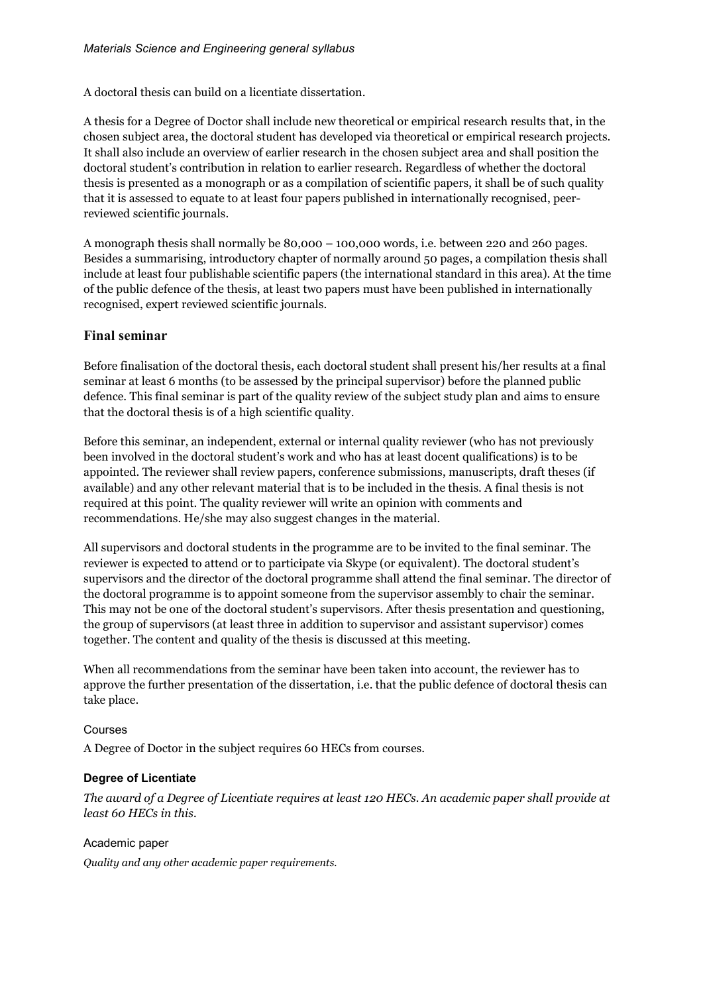A doctoral thesis can build on a licentiate dissertation.

A thesis for a Degree of Doctor shall include new theoretical or empirical research results that, in the chosen subject area, the doctoral student has developed via theoretical or empirical research projects. It shall also include an overview of earlier research in the chosen subject area and shall position the doctoral student's contribution in relation to earlier research. Regardless of whether the doctoral thesis is presented as a monograph or as a compilation of scientific papers, it shall be of such quality that it is assessed to equate to at least four papers published in internationally recognised, peerreviewed scientific journals.

A monograph thesis shall normally be 80,000 – 100,000 words, i.e. between 220 and 260 pages. Besides a summarising, introductory chapter of normally around 50 pages, a compilation thesis shall include at least four publishable scientific papers (the international standard in this area). At the time of the public defence of the thesis, at least two papers must have been published in internationally recognised, expert reviewed scientific journals.

### **Final seminar**

Before finalisation of the doctoral thesis, each doctoral student shall present his/her results at a final seminar at least 6 months (to be assessed by the principal supervisor) before the planned public defence. This final seminar is part of the quality review of the subject study plan and aims to ensure that the doctoral thesis is of a high scientific quality.

Before this seminar, an independent, external or internal quality reviewer (who has not previously been involved in the doctoral student's work and who has at least docent qualifications) is to be appointed. The reviewer shall review papers, conference submissions, manuscripts, draft theses (if available) and any other relevant material that is to be included in the thesis. A final thesis is not required at this point. The quality reviewer will write an opinion with comments and recommendations. He/she may also suggest changes in the material.

All supervisors and doctoral students in the programme are to be invited to the final seminar. The reviewer is expected to attend or to participate via Skype (or equivalent). The doctoral student's supervisors and the director of the doctoral programme shall attend the final seminar. The director of the doctoral programme is to appoint someone from the supervisor assembly to chair the seminar. This may not be one of the doctoral student's supervisors. After thesis presentation and questioning, the group of supervisors (at least three in addition to supervisor and assistant supervisor) comes together. The content and quality of the thesis is discussed at this meeting.

When all recommendations from the seminar have been taken into account, the reviewer has to approve the further presentation of the dissertation, i.e. that the public defence of doctoral thesis can take place.

#### Courses

A Degree of Doctor in the subject requires 60 HECs from courses.

#### **Degree of Licentiate**

*The award of a Degree of Licentiate requires at least 120 HECs. An academic paper shall provide at least 60 HECs in this.*

Academic paper

*Quality and any other academic paper requirements.*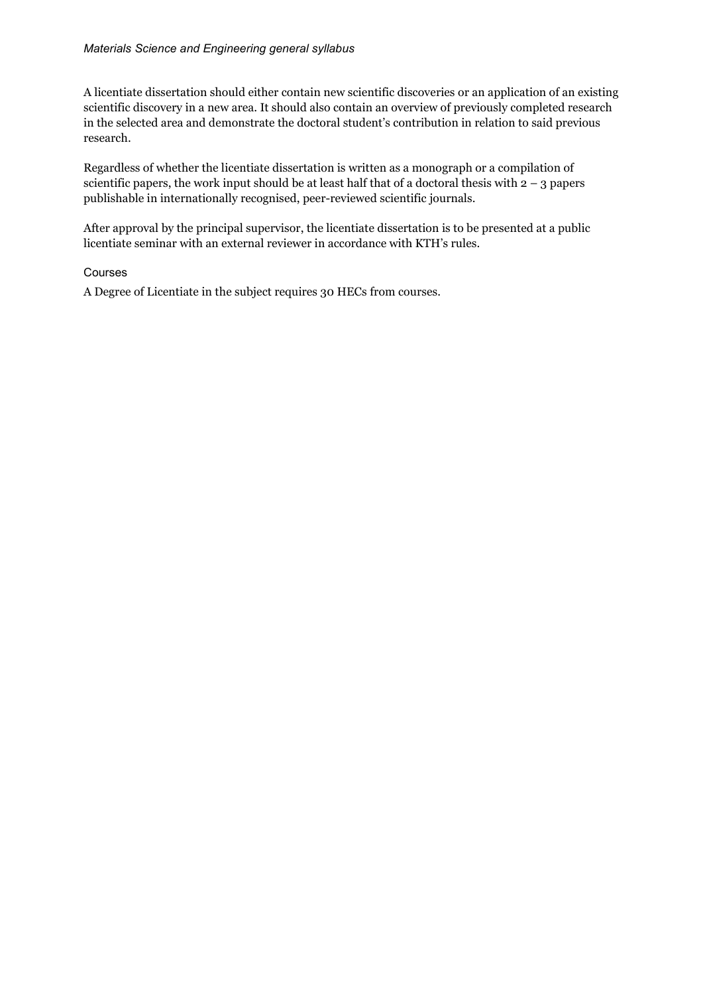#### *Materials Science and Engineering general syllabus*

A licentiate dissertation should either contain new scientific discoveries or an application of an existing scientific discovery in a new area. It should also contain an overview of previously completed research in the selected area and demonstrate the doctoral student's contribution in relation to said previous research.

Regardless of whether the licentiate dissertation is written as a monograph or a compilation of scientific papers, the work input should be at least half that of a doctoral thesis with  $2 - 3$  papers publishable in internationally recognised, peer-reviewed scientific journals.

After approval by the principal supervisor, the licentiate dissertation is to be presented at a public licentiate seminar with an external reviewer in accordance with KTH's rules.

#### Courses

A Degree of Licentiate in the subject requires 30 HECs from courses.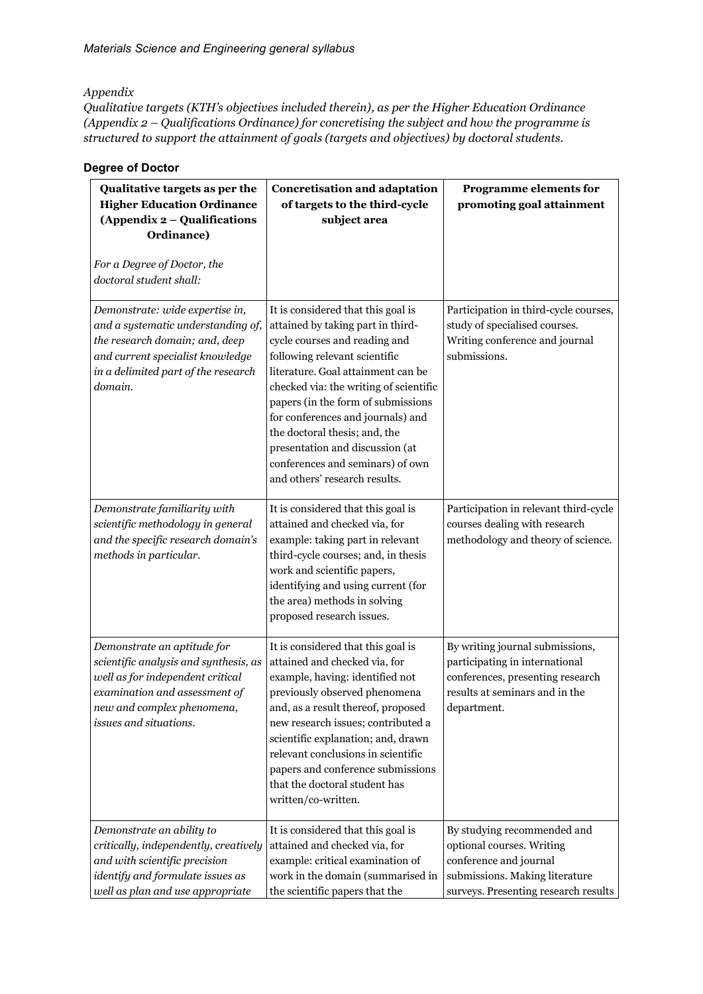*Appendix*

*Qualitative targets (KTH's objectives included therein), as per the Higher Education Ordinance (Appendix 2 – Qualifications Ordinance) for concretising the subject and how the programme is structured to support the attainment of goals (targets and objectives) by doctoral students.*

| Qualitative targets as per the<br><b>Higher Education Ordinance</b><br>(Appendix 2 - Qualifications<br>Ordinance)                                                                                 | <b>Concretisation and adaptation</b><br>of targets to the third-cycle<br>subject area                                                                                                                                                                                                                                                                                                                                                         | <b>Programme elements for</b><br>promoting goal attainment                                                                                                   |
|---------------------------------------------------------------------------------------------------------------------------------------------------------------------------------------------------|-----------------------------------------------------------------------------------------------------------------------------------------------------------------------------------------------------------------------------------------------------------------------------------------------------------------------------------------------------------------------------------------------------------------------------------------------|--------------------------------------------------------------------------------------------------------------------------------------------------------------|
| For a Degree of Doctor, the<br>doctoral student shall:                                                                                                                                            |                                                                                                                                                                                                                                                                                                                                                                                                                                               |                                                                                                                                                              |
| Demonstrate: wide expertise in,<br>and a systematic understanding of,<br>the research domain; and, deep<br>and current specialist knowledge<br>in a delimited part of the research<br>domain.     | It is considered that this goal is<br>attained by taking part in third-<br>cycle courses and reading and<br>following relevant scientific<br>literature. Goal attainment can be<br>checked via: the writing of scientific<br>papers (in the form of submissions<br>for conferences and journals) and<br>the doctoral thesis; and, the<br>presentation and discussion (at<br>conferences and seminars) of own<br>and others' research results. | Participation in third-cycle courses,<br>study of specialised courses.<br>Writing conference and journal<br>submissions.                                     |
| Demonstrate familiarity with<br>scientific methodology in general<br>and the specific research domain's<br>methods in particular.                                                                 | It is considered that this goal is<br>attained and checked via, for<br>example: taking part in relevant<br>third-cycle courses; and, in thesis<br>work and scientific papers,<br>identifying and using current (for<br>the area) methods in solving<br>proposed research issues.                                                                                                                                                              | Participation in relevant third-cycle<br>courses dealing with research<br>methodology and theory of science.                                                 |
| Demonstrate an aptitude for<br>scientific analysis and synthesis, as<br>well as for independent critical<br>examination and assessment of<br>new and complex phenomena,<br>issues and situations. | It is considered that this goal is<br>attained and checked via, for<br>example, having: identified not<br>previously observed phenomena<br>and, as a result thereof, proposed<br>new research issues; contributed a<br>scientific explanation; and, drawn<br>relevant conclusions in scientific<br>papers and conference submissions<br>that the doctoral student has<br>written/co-written.                                                  | By writing journal submissions,<br>participating in international<br>conferences, presenting research<br>results at seminars and in the<br>department.       |
| Demonstrate an ability to<br>critically, independently, creatively<br>and with scientific precision<br>identify and formulate issues as<br>well as plan and use appropriate                       | It is considered that this goal is<br>attained and checked via, for<br>example: critical examination of<br>work in the domain (summarised in<br>the scientific papers that the                                                                                                                                                                                                                                                                | By studying recommended and<br>optional courses. Writing<br>conference and journal<br>submissions. Making literature<br>surveys. Presenting research results |

#### **Degree of Doctor**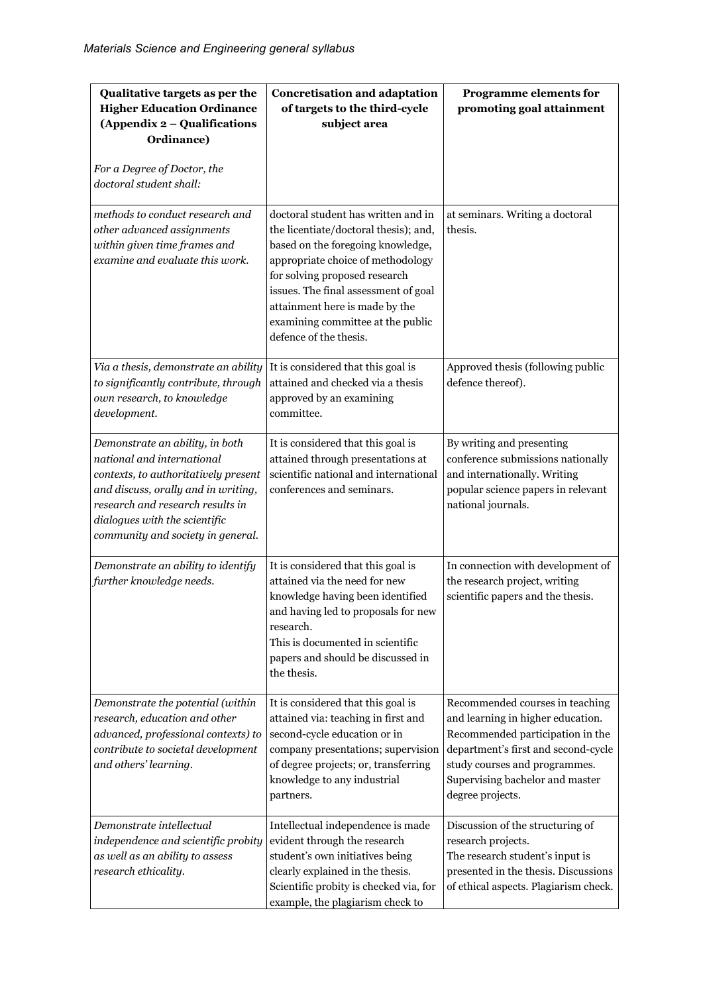| Qualitative targets as per the<br><b>Higher Education Ordinance</b><br>(Appendix 2 - Qualifications<br>Ordinance)<br>For a Degree of Doctor, the<br>doctoral student shall:                                                                            | <b>Concretisation and adaptation</b><br>of targets to the third-cycle<br>subject area                                                                                                                                                                                                                                            | Programme elements for<br>promoting goal attainment                                                                                                                                                                                     |
|--------------------------------------------------------------------------------------------------------------------------------------------------------------------------------------------------------------------------------------------------------|----------------------------------------------------------------------------------------------------------------------------------------------------------------------------------------------------------------------------------------------------------------------------------------------------------------------------------|-----------------------------------------------------------------------------------------------------------------------------------------------------------------------------------------------------------------------------------------|
| methods to conduct research and<br>other advanced assignments<br>within given time frames and<br>examine and evaluate this work.                                                                                                                       | doctoral student has written and in<br>the licentiate/doctoral thesis); and,<br>based on the foregoing knowledge,<br>appropriate choice of methodology<br>for solving proposed research<br>issues. The final assessment of goal<br>attainment here is made by the<br>examining committee at the public<br>defence of the thesis. | at seminars. Writing a doctoral<br>thesis.                                                                                                                                                                                              |
| Via a thesis, demonstrate an ability<br>to significantly contribute, through<br>own research, to knowledge<br>development.                                                                                                                             | It is considered that this goal is<br>attained and checked via a thesis<br>approved by an examining<br>committee.                                                                                                                                                                                                                | Approved thesis (following public<br>defence thereof).                                                                                                                                                                                  |
| Demonstrate an ability, in both<br>national and international<br>contexts, to authoritatively present<br>and discuss, orally and in writing,<br>research and research results in<br>dialogues with the scientific<br>community and society in general. | It is considered that this goal is<br>attained through presentations at<br>scientific national and international<br>conferences and seminars.                                                                                                                                                                                    | By writing and presenting<br>conference submissions nationally<br>and internationally. Writing<br>popular science papers in relevant<br>national journals.                                                                              |
| Demonstrate an ability to identify<br>further knowledge needs.                                                                                                                                                                                         | It is considered that this goal is<br>attained via the need for new<br>knowledge having been identified<br>and having led to proposals for new<br>research.<br>This is documented in scientific<br>papers and should be discussed in<br>the thesis.                                                                              | In connection with development of<br>the research project, writing<br>scientific papers and the thesis.                                                                                                                                 |
| Demonstrate the potential (within<br>research, education and other<br>advanced, professional contexts) to<br>contribute to societal development<br>and others' learning.                                                                               | It is considered that this goal is<br>attained via: teaching in first and<br>second-cycle education or in<br>company presentations; supervision<br>of degree projects; or, transferring<br>knowledge to any industrial<br>partners.                                                                                              | Recommended courses in teaching<br>and learning in higher education.<br>Recommended participation in the<br>department's first and second-cycle<br>study courses and programmes.<br>Supervising bachelor and master<br>degree projects. |
| Demonstrate intellectual<br>independence and scientific probity<br>as well as an ability to assess<br>research ethicality.                                                                                                                             | Intellectual independence is made<br>evident through the research<br>student's own initiatives being<br>clearly explained in the thesis.<br>Scientific probity is checked via, for<br>example, the plagiarism check to                                                                                                           | Discussion of the structuring of<br>research projects.<br>The research student's input is<br>presented in the thesis. Discussions<br>of ethical aspects. Plagiarism check.                                                              |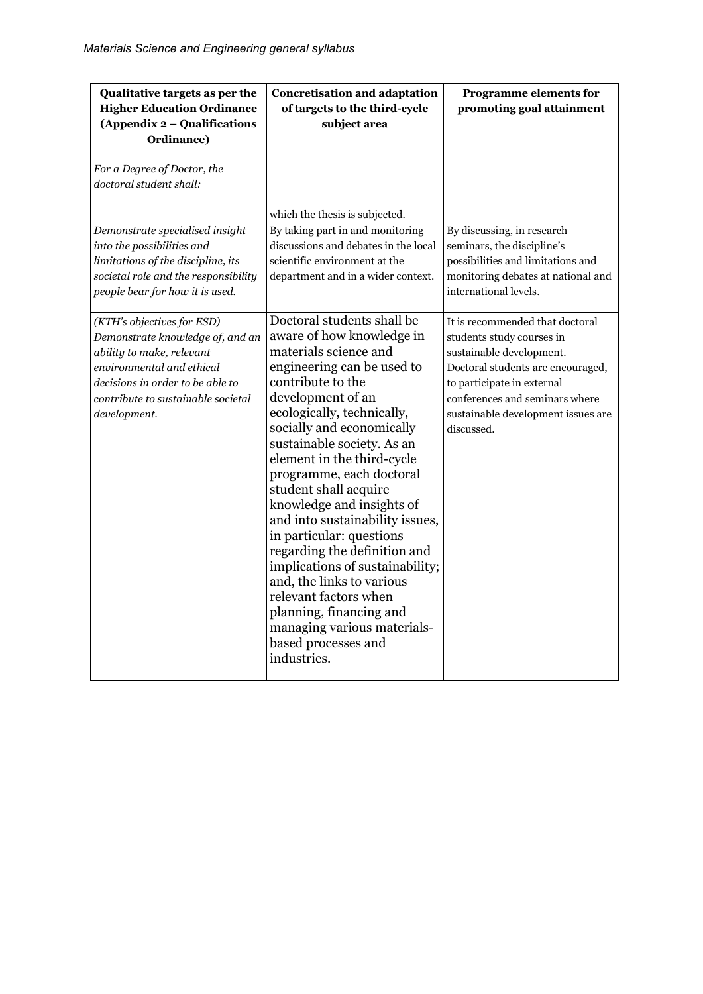| Qualitative targets as per the<br><b>Higher Education Ordinance</b><br>(Appendix 2 - Qualifications<br>Ordinance)<br>For a Degree of Doctor, the<br>doctoral student shall:                                        | <b>Concretisation and adaptation</b><br>of targets to the third-cycle<br>subject area                                                                                                                                                                                                                                                                                                                                                                                                                                                                                                                                                                     | <b>Programme elements for</b><br>promoting goal attainment                                                                                                                                                                                        |
|--------------------------------------------------------------------------------------------------------------------------------------------------------------------------------------------------------------------|-----------------------------------------------------------------------------------------------------------------------------------------------------------------------------------------------------------------------------------------------------------------------------------------------------------------------------------------------------------------------------------------------------------------------------------------------------------------------------------------------------------------------------------------------------------------------------------------------------------------------------------------------------------|---------------------------------------------------------------------------------------------------------------------------------------------------------------------------------------------------------------------------------------------------|
| Demonstrate specialised insight                                                                                                                                                                                    | which the thesis is subjected.<br>By taking part in and monitoring                                                                                                                                                                                                                                                                                                                                                                                                                                                                                                                                                                                        | By discussing, in research                                                                                                                                                                                                                        |
| into the possibilities and<br>limitations of the discipline, its<br>societal role and the responsibility<br>people bear for how it is used.                                                                        | discussions and debates in the local<br>scientific environment at the<br>department and in a wider context.                                                                                                                                                                                                                                                                                                                                                                                                                                                                                                                                               | seminars, the discipline's<br>possibilities and limitations and<br>monitoring debates at national and<br>international levels.                                                                                                                    |
| (KTH's objectives for ESD)<br>Demonstrate knowledge of, and an<br>ability to make, relevant<br>environmental and ethical<br>decisions in order to be able to<br>contribute to sustainable societal<br>development. | Doctoral students shall be<br>aware of how knowledge in<br>materials science and<br>engineering can be used to<br>contribute to the<br>development of an<br>ecologically, technically,<br>socially and economically<br>sustainable society. As an<br>element in the third-cycle<br>programme, each doctoral<br>student shall acquire<br>knowledge and insights of<br>and into sustainability issues,<br>in particular: questions<br>regarding the definition and<br>implications of sustainability;<br>and, the links to various<br>relevant factors when<br>planning, financing and<br>managing various materials-<br>based processes and<br>industries. | It is recommended that doctoral<br>students study courses in<br>sustainable development.<br>Doctoral students are encouraged,<br>to participate in external<br>conferences and seminars where<br>sustainable development issues are<br>discussed. |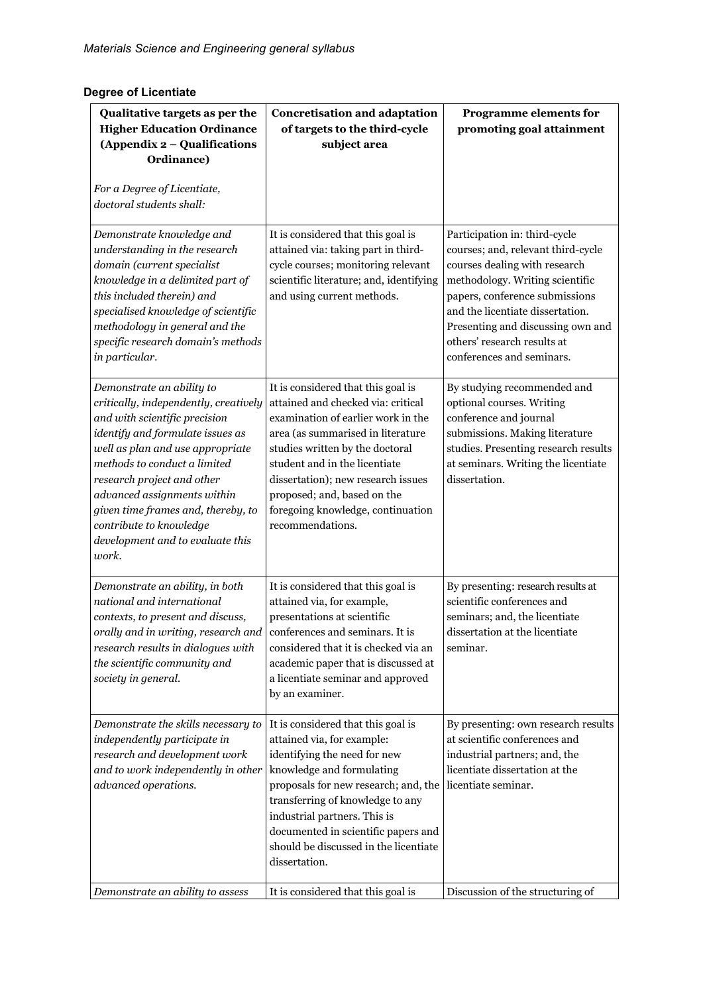## **Degree of Licentiate**

| Qualitative targets as per the<br><b>Higher Education Ordinance</b><br>(Appendix 2 - Qualifications<br>Ordinance)<br>For a Degree of Licentiate,<br>doctoral students shall:                                                                                                                                                                                                           | <b>Concretisation and adaptation</b><br>of targets to the third-cycle<br>subject area                                                                                                                                                                                                                                                                 | <b>Programme elements for</b><br>promoting goal attainment                                                                                                                                                                                                                                                     |
|----------------------------------------------------------------------------------------------------------------------------------------------------------------------------------------------------------------------------------------------------------------------------------------------------------------------------------------------------------------------------------------|-------------------------------------------------------------------------------------------------------------------------------------------------------------------------------------------------------------------------------------------------------------------------------------------------------------------------------------------------------|----------------------------------------------------------------------------------------------------------------------------------------------------------------------------------------------------------------------------------------------------------------------------------------------------------------|
| Demonstrate knowledge and<br>understanding in the research<br>domain (current specialist<br>knowledge in a delimited part of<br>this included therein) and<br>specialised knowledge of scientific<br>methodology in general and the<br>specific research domain's methods<br>in particular.                                                                                            | It is considered that this goal is<br>attained via: taking part in third-<br>cycle courses; monitoring relevant<br>scientific literature; and, identifying<br>and using current methods.                                                                                                                                                              | Participation in: third-cycle<br>courses; and, relevant third-cycle<br>courses dealing with research<br>methodology. Writing scientific<br>papers, conference submissions<br>and the licentiate dissertation.<br>Presenting and discussing own and<br>others' research results at<br>conferences and seminars. |
| Demonstrate an ability to<br>critically, independently, creatively<br>and with scientific precision<br>identify and formulate issues as<br>well as plan and use appropriate<br>methods to conduct a limited<br>research project and other<br>advanced assignments within<br>given time frames and, thereby, to<br>contribute to knowledge<br>development and to evaluate this<br>work. | It is considered that this goal is<br>attained and checked via: critical<br>examination of earlier work in the<br>area (as summarised in literature<br>studies written by the doctoral<br>student and in the licentiate<br>dissertation); new research issues<br>proposed; and, based on the<br>foregoing knowledge, continuation<br>recommendations. | By studying recommended and<br>optional courses. Writing<br>conference and journal<br>submissions. Making literature<br>studies. Presenting research results<br>at seminars. Writing the licentiate<br>dissertation.                                                                                           |
| Demonstrate an ability, in both<br>national and international<br>contexts, to present and discuss,<br>orally and in writing, research and $ $ conferences and seminars. It is<br>research results in dialogues with<br>the scientific community and<br>society in general.                                                                                                             | It is considered that this goal is<br>attained via, for example,<br>presentations at scientific<br>considered that it is checked via an<br>academic paper that is discussed at<br>a licentiate seminar and approved<br>by an examiner.                                                                                                                | By presenting: research results at<br>scientific conferences and<br>seminars; and, the licentiate<br>dissertation at the licentiate<br>seminar.                                                                                                                                                                |
| Demonstrate the skills necessary to<br>independently participate in<br>research and development work<br>and to work independently in other<br>advanced operations.                                                                                                                                                                                                                     | It is considered that this goal is<br>attained via, for example:<br>identifying the need for new<br>knowledge and formulating<br>proposals for new research; and, the<br>transferring of knowledge to any<br>industrial partners. This is<br>documented in scientific papers and<br>should be discussed in the licentiate<br>dissertation.            | By presenting: own research results<br>at scientific conferences and<br>industrial partners; and, the<br>licentiate dissertation at the<br>licentiate seminar.                                                                                                                                                 |
| Demonstrate an ability to assess                                                                                                                                                                                                                                                                                                                                                       | It is considered that this goal is                                                                                                                                                                                                                                                                                                                    | Discussion of the structuring of                                                                                                                                                                                                                                                                               |